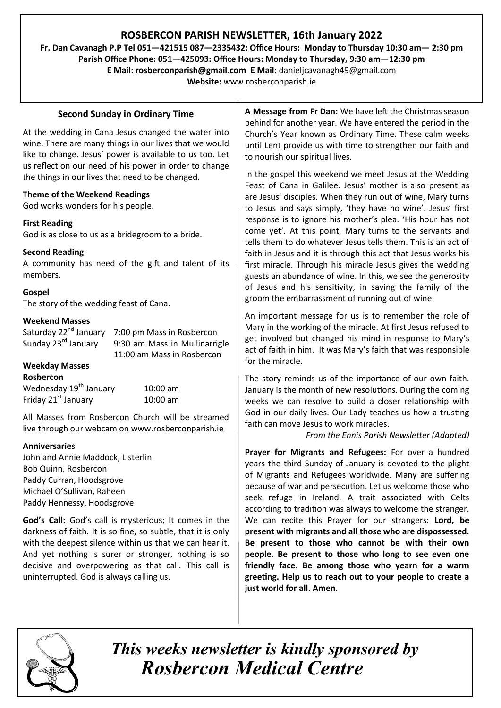# **ROSBERCON PARISH NEWSLETTER, 16th January 2022**

**Fr. Dan Cavanagh P.P Tel 051—421515 087—2335432: Office Hours: Monday to Thursday 10:30 am— 2:30 pm Parish Office Phone: 051—425093: Office Hours: Monday to Thursday, 9:30 am—12:30 pm**

**E Mail: rosberconparish@gmail.com E Mail:** [danieljcavanagh49@gmail.com](mailto:danieljcavanagh49@gmail.com)

**Website:** [www.rosberconparish.ie](http://www.rosberconparish.ie)

### **Second Sunday in Ordinary Time**

At the wedding in Cana Jesus changed the water into wine. There are many things in our lives that we would like to change. Jesus' power is available to us too. Let us reflect on our need of his power in order to change the things in our lives that need to be changed.

#### **Theme of the Weekend Readings**

God works wonders for his people.

#### **First Reading**

God is as close to us as a bridegroom to a bride.

#### **Second Reading**

A community has need of the gift and talent of its members.

#### **Gospel**

The story of the wedding feast of Cana.

#### **Weekend Masses**

Saturday 22<sup>nd</sup> January 7:00 pm Mass in Rosbercon Sunday 23rd January 9:30 am Mass in Mullinarrigle 11:00 am Mass in Rosbercon

#### **Weekday Masses**

| <b>Rosbercon</b>                   |            |
|------------------------------------|------------|
| Wednesday 19 <sup>th</sup> January | $10:00$ am |
| Friday 21 <sup>st</sup> January    | $10:00$ am |

All Masses from Rosbercon Church will be streamed live through our webcam on [www.rosberconparish.ie](http://www.rosberconparish.ie)

#### **Anniversaries**

John and Annie Maddock, Listerlin Bob Quinn, Rosbercon Paddy Curran, Hoodsgrove Michael O'Sullivan, Raheen Paddy Hennessy, Hoodsgrove

**God's Call:** God's call is mysterious; It comes in the darkness of faith. It is so fine, so subtle, that it is only with the deepest silence within us that we can hear it. And yet nothing is surer or stronger, nothing is so decisive and overpowering as that call. This call is uninterrupted. God is always calling us.

**A Message from Fr Dan:** We have left the Christmas season behind for another year. We have entered the period in the Church's Year known as Ordinary Time. These calm weeks until Lent provide us with time to strengthen our faith and to nourish our spiritual lives.

In the gospel this weekend we meet Jesus at the Wedding Feast of Cana in Galilee. Jesus' mother is also present as are Jesus' disciples. When they run out of wine, Mary turns to Jesus and says simply, 'they have no wine'. Jesus' first response is to ignore his mother's plea. 'His hour has not come yet'. At this point, Mary turns to the servants and tells them to do whatever Jesus tells them. This is an act of faith in Jesus and it is through this act that Jesus works his first miracle. Through his miracle Jesus gives the wedding guests an abundance of wine. In this, we see the generosity of Jesus and his sensitivity, in saving the family of the groom the embarrassment of running out of wine.

An important message for us is to remember the role of Mary in the working of the miracle. At first Jesus refused to get involved but changed his mind in response to Mary's act of faith in him. It was Mary's faith that was responsible for the miracle.

The story reminds us of the importance of our own faith. January is the month of new resolutions. During the coming weeks we can resolve to build a closer relationship with God in our daily lives. Our Lady teaches us how a trusting faith can move Jesus to work miracles.

*From the Ennis Parish Newsletter (Adapted)*

**Prayer for Migrants and Refugees:** For over a hundred years the third Sunday of January is devoted to the plight of Migrants and Refugees worldwide. Many are suffering because of war and persecution. Let us welcome those who seek refuge in Ireland. A trait associated with Celts according to tradition was always to welcome the stranger. We can recite this Prayer for our strangers: **Lord, be present with migrants and all those who are dispossessed. Be present to those who cannot be with their own people. Be present to those who long to see even one friendly face. Be among those who yearn for a warm greeting. Help us to reach out to your people to create a just world for all. Amen.** 



*This weeks newsletter is kindly sponsored by Rosbercon Medical Centre*